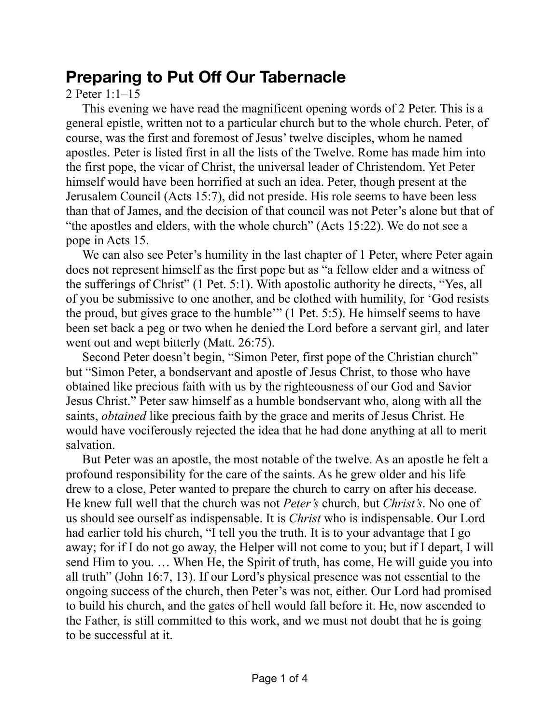## **Preparing to Put Off Our Tabernacle**

## 2 Peter 1:1–15

This evening we have read the magnificent opening words of 2 Peter. This is a general epistle, written not to a particular church but to the whole church. Peter, of course, was the first and foremost of Jesus' twelve disciples, whom he named apostles. Peter is listed first in all the lists of the Twelve. Rome has made him into the first pope, the vicar of Christ, the universal leader of Christendom. Yet Peter himself would have been horrified at such an idea. Peter, though present at the Jerusalem Council (Acts 15:7), did not preside. His role seems to have been less than that of James, and the decision of that council was not Peter's alone but that of "the apostles and elders, with the whole church" (Acts 15:22). We do not see a pope in Acts 15.

We can also see Peter's humility in the last chapter of 1 Peter, where Peter again does not represent himself as the first pope but as "a fellow elder and a witness of the sufferings of Christ" (1 Pet. 5:1). With apostolic authority he directs, "Yes, all of you be submissive to one another, and be clothed with humility, for 'God resists the proud, but gives grace to the humble'" (1 Pet. 5:5). He himself seems to have been set back a peg or two when he denied the Lord before a servant girl, and later went out and wept bitterly (Matt. 26:75).

Second Peter doesn't begin, "Simon Peter, first pope of the Christian church" but "Simon Peter, a bondservant and apostle of Jesus Christ, to those who have obtained like precious faith with us by the righteousness of our God and Savior Jesus Christ." Peter saw himself as a humble bondservant who, along with all the saints, *obtained* like precious faith by the grace and merits of Jesus Christ. He would have vociferously rejected the idea that he had done anything at all to merit salvation.

But Peter was an apostle, the most notable of the twelve. As an apostle he felt a profound responsibility for the care of the saints. As he grew older and his life drew to a close, Peter wanted to prepare the church to carry on after his decease. He knew full well that the church was not *Peter's* church, but *Christ's*. No one of us should see ourself as indispensable. It is *Christ* who is indispensable. Our Lord had earlier told his church, "I tell you the truth. It is to your advantage that I go away; for if I do not go away, the Helper will not come to you; but if I depart, I will send Him to you. … When He, the Spirit of truth, has come, He will guide you into all truth" (John 16:7, 13). If our Lord's physical presence was not essential to the ongoing success of the church, then Peter's was not, either. Our Lord had promised to build his church, and the gates of hell would fall before it. He, now ascended to the Father, is still committed to this work, and we must not doubt that he is going to be successful at it.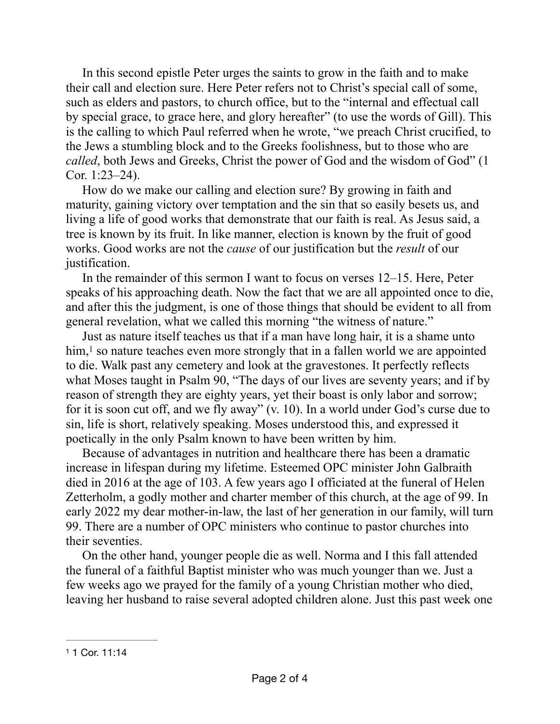In this second epistle Peter urges the saints to grow in the faith and to make their call and election sure. Here Peter refers not to Christ's special call of some, such as elders and pastors, to church office, but to the "internal and effectual call by special grace, to grace here, and glory hereafter" (to use the words of Gill). This is the calling to which Paul referred when he wrote, "we preach Christ crucified, to the Jews a stumbling block and to the Greeks foolishness, but to those who are *called*, both Jews and Greeks, Christ the power of God and the wisdom of God" (1 Cor. 1:23–24).

How do we make our calling and election sure? By growing in faith and maturity, gaining victory over temptation and the sin that so easily besets us, and living a life of good works that demonstrate that our faith is real. As Jesus said, a tree is known by its fruit. In like manner, election is known by the fruit of good works. Good works are not the *cause* of our justification but the *result* of our justification.

In the remainder of this sermon I want to focus on verses 12–15. Here, Peter speaks of his approaching death. Now the fact that we are all appointed once to die, and after this the judgment, is one of those things that should be evident to all from general revelation, what we called this morning "the witness of nature."

<span id="page-1-1"></span>Just as nature itself teaches us that if a man have long hair, it is a shame unto  $\lim$ [,](#page-1-0) so nature teaches even more strongly that in a fallen world we are appointed to die. Walk past any cemetery and look at the gravestones. It perfectly reflects what Moses taught in Psalm 90, "The days of our lives are seventy years; and if by reason of strength they are eighty years, yet their boast is only labor and sorrow; for it is soon cut off, and we fly away" (v. 10). In a world under God's curse due to sin, life is short, relatively speaking. Moses understood this, and expressed it poetically in the only Psalm known to have been written by him.

Because of advantages in nutrition and healthcare there has been a dramatic increase in lifespan during my lifetime. Esteemed OPC minister John Galbraith died in 2016 at the age of 103. A few years ago I officiated at the funeral of Helen Zetterholm, a godly mother and charter member of this church, at the age of 99. In early 2022 my dear mother-in-law, the last of her generation in our family, will turn 99. There are a number of OPC ministers who continue to pastor churches into their seventies.

On the other hand, younger people die as well. Norma and I this fall attended the funeral of a faithful Baptist minister who was much younger than we. Just a few weeks ago we prayed for the family of a young Christian mother who died, leaving her husband to raise several adopted children alone. Just this past week one

<span id="page-1-0"></span>[<sup>1</sup>](#page-1-1) 1 Cor. 11:14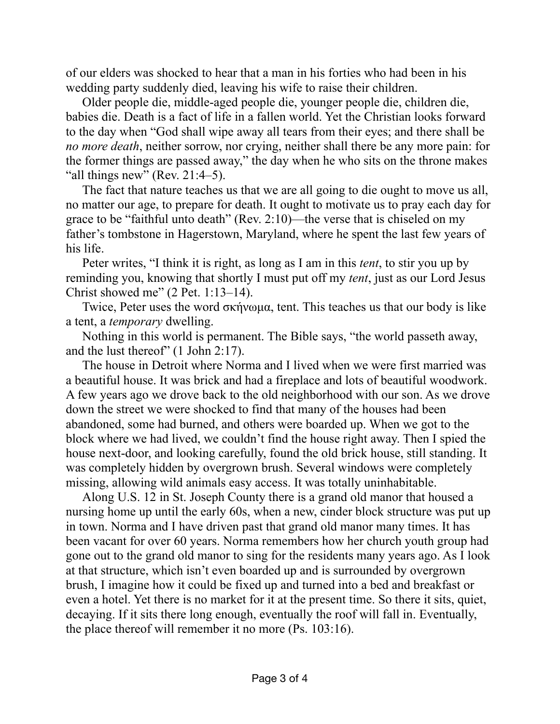of our elders was shocked to hear that a man in his forties who had been in his wedding party suddenly died, leaving his wife to raise their children.

Older people die, middle-aged people die, younger people die, children die, babies die. Death is a fact of life in a fallen world. Yet the Christian looks forward to the day when "God shall wipe away all tears from their eyes; and there shall be *no more death*, neither sorrow, nor crying, neither shall there be any more pain: for the former things are passed away," the day when he who sits on the throne makes "all things new" (Rev.  $21:4-5$ ).

The fact that nature teaches us that we are all going to die ought to move us all, no matter our age, to prepare for death. It ought to motivate us to pray each day for grace to be "faithful unto death" (Rev. 2:10)—the verse that is chiseled on my father's tombstone in Hagerstown, Maryland, where he spent the last few years of his life.

Peter writes, "I think it is right, as long as I am in this *tent*, to stir you up by reminding you, knowing that shortly I must put off my *tent*, just as our Lord Jesus Christ showed me" (2 Pet. 1:13–14).

Twice, Peter uses the word σκήνωµα, tent. This teaches us that our body is like a tent, a *temporary* dwelling.

Nothing in this world is permanent. The Bible says, "the world passeth away, and the lust thereof" (1 John 2:17).

The house in Detroit where Norma and I lived when we were first married was a beautiful house. It was brick and had a fireplace and lots of beautiful woodwork. A few years ago we drove back to the old neighborhood with our son. As we drove down the street we were shocked to find that many of the houses had been abandoned, some had burned, and others were boarded up. When we got to the block where we had lived, we couldn't find the house right away. Then I spied the house next-door, and looking carefully, found the old brick house, still standing. It was completely hidden by overgrown brush. Several windows were completely missing, allowing wild animals easy access. It was totally uninhabitable.

Along U.S. 12 in St. Joseph County there is a grand old manor that housed a nursing home up until the early 60s, when a new, cinder block structure was put up in town. Norma and I have driven past that grand old manor many times. It has been vacant for over 60 years. Norma remembers how her church youth group had gone out to the grand old manor to sing for the residents many years ago. As I look at that structure, which isn't even boarded up and is surrounded by overgrown brush, I imagine how it could be fixed up and turned into a bed and breakfast or even a hotel. Yet there is no market for it at the present time. So there it sits, quiet, decaying. If it sits there long enough, eventually the roof will fall in. Eventually, the place thereof will remember it no more (Ps. 103:16).